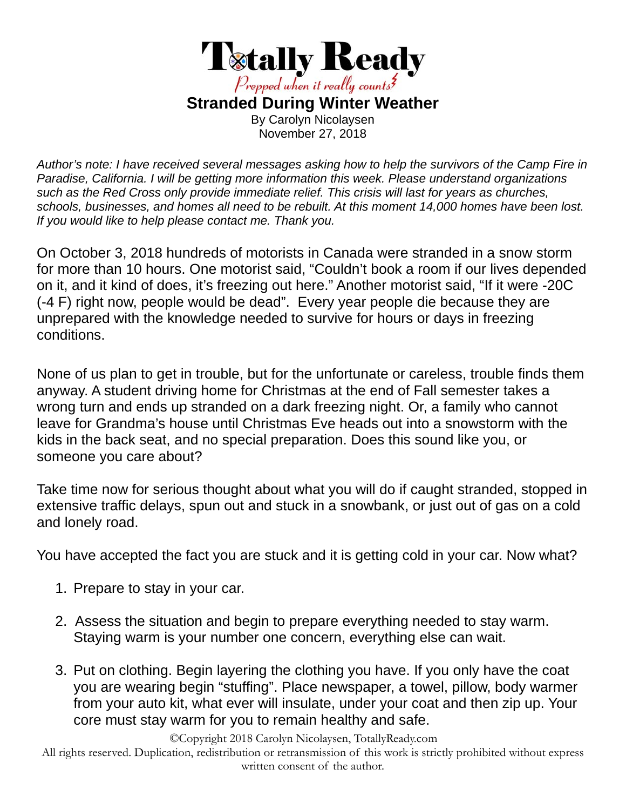

*Author's note: I have received several messages asking how to help the survivors of the Camp Fire in Paradise, California. I will be getting more information this week. Please understand organizations such as the Red Cross only provide immediate relief. This crisis will last for years as churches, schools, businesses, and homes all need to be rebuilt. At this moment 14,000 homes have been lost. If you would like to help please contact me. Thank you.* 

On October 3, 2018 hundreds of motorists in Canada were stranded in a snow storm for more than 10 hours. One motorist said, "Couldn't book a room if our lives depended on it, and it kind of does, it's freezing out here." Another motorist said, "If it were -20C (-4 F) right now, people would be dead". Every year people die because they are unprepared with the knowledge needed to survive for hours or days in freezing conditions.

None of us plan to get in trouble, but for the unfortunate or careless, trouble finds them anyway. A student driving home for Christmas at the end of Fall semester takes a wrong turn and ends up stranded on a dark freezing night. Or, a family who cannot leave for Grandma's house until Christmas Eve heads out into a snowstorm with the kids in the back seat, and no special preparation. Does this sound like you, or someone you care about?

Take time now for serious thought about what you will do if caught stranded, stopped in extensive traffic delays, spun out and stuck in a snowbank, or just out of gas on a cold and lonely road.

You have accepted the fact you are stuck and it is getting cold in your car. Now what?

- 1. Prepare to stay in your car.
- 2. Assess the situation and begin to prepare everything needed to stay warm. Staying warm is your number one concern, everything else can wait.
- 3. Put on clothing. Begin layering the clothing you have. If you only have the coat you are wearing begin "stuffing". Place newspaper, a towel, pillow, body warmer from your auto kit, what ever will insulate, under your coat and then zip up. Your core must stay warm for you to remain healthy and safe.

©Copyright 2018 Carolyn Nicolaysen, TotallyReady.com

All rights reserved. Duplication, redistribution or retransmission of this work is strictly prohibited without express written consent of the author.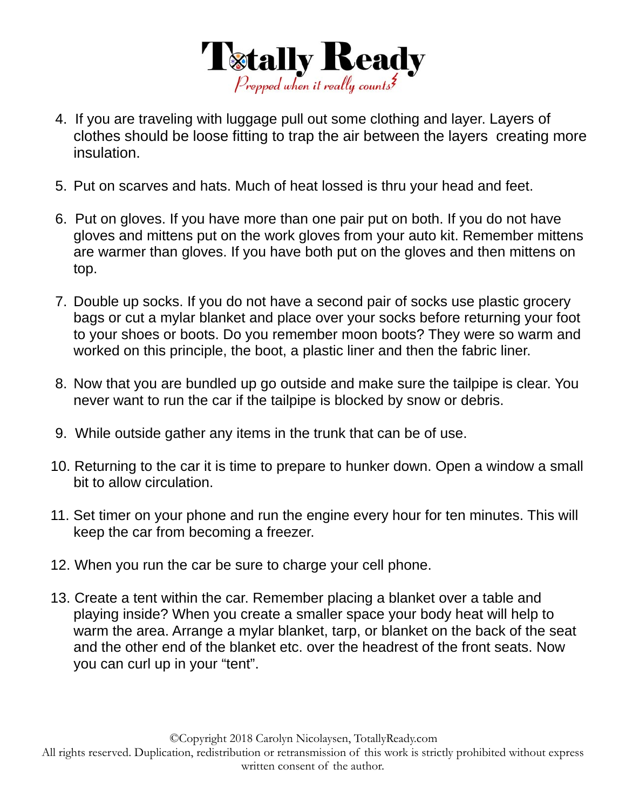

- 4. If you are traveling with luggage pull out some clothing and layer. Layers of clothes should be loose fitting to trap the air between the layers creating more insulation.
- 5. Put on scarves and hats. Much of heat lossed is thru your head and feet.
- 6. Put on gloves. If you have more than one pair put on both. If you do not have gloves and mittens put on the work gloves from your auto kit. Remember mittens are warmer than gloves. If you have both put on the gloves and then mittens on top.
- 7. Double up socks. If you do not have a second pair of socks use plastic grocery bags or cut a mylar blanket and place over your socks before returning your foot to your shoes or boots. Do you remember moon boots? They were so warm and worked on this principle, the boot, a plastic liner and then the fabric liner.
- 8. Now that you are bundled up go outside and make sure the tailpipe is clear. You never want to run the car if the tailpipe is blocked by snow or debris.
- 9. While outside gather any items in the trunk that can be of use.
- 10. Returning to the car it is time to prepare to hunker down. Open a window a small bit to allow circulation.
- 11. Set timer on your phone and run the engine every hour for ten minutes. This will keep the car from becoming a freezer.
- 12. When you run the car be sure to charge your cell phone.
- 13. Create a tent within the car. Remember placing a blanket over a table and playing inside? When you create a smaller space your body heat will help to warm the area. Arrange a mylar blanket, tarp, or blanket on the back of the seat and the other end of the blanket etc. over the headrest of the front seats. Now you can curl up in your "tent".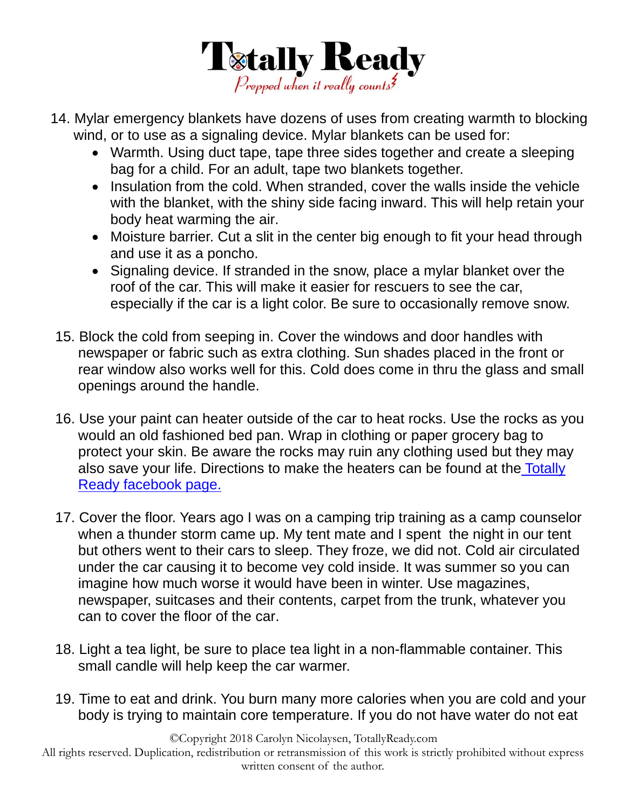

- 14. Mylar emergency blankets have dozens of uses from creating warmth to blocking wind, or to use as a signaling device. Mylar blankets can be used for:
	- Warmth. Using duct tape, tape three sides together and create a sleeping bag for a child. For an adult, tape two blankets together.
	- Insulation from the cold. When stranded, cover the walls inside the vehicle with the blanket, with the shiny side facing inward. This will help retain your body heat warming the air.
	- Moisture barrier. Cut a slit in the center big enough to fit your head through and use it as a poncho.
	- Signaling device. If stranded in the snow, place a mylar blanket over the roof of the car. This will make it easier for rescuers to see the car, especially if the car is a light color. Be sure to occasionally remove snow.
- 15. Block the cold from seeping in. Cover the windows and door handles with newspaper or fabric such as extra clothing. Sun shades placed in the front or rear window also works well for this. Cold does come in thru the glass and small openings around the handle.
- 16. Use your paint can heater outside of the car to heat rocks. Use the rocks as you would an old fashioned bed pan. Wrap in clothing or paper grocery bag to protect your skin. Be aware the rocks may ruin any clothing used but they may also save your life. Directions to make the heaters can be found at the Totally Ready facebook page.
- 17. Cover the floor. Years ago I was on a camping trip training as a camp counselor when a thunder storm came up. My tent mate and I spent the night in our tent but others went to their cars to sleep. They froze, we did not. Cold air circulated under the car causing it to become vey cold inside. It was summer so you can imagine how much worse it would have been in winter. Use magazines, newspaper, suitcases and their contents, carpet from the trunk, whatever you can to cover the floor of the car.
- 18. Light a tea light, be sure to place tea light in a non-flammable container. This small candle will help keep the car warmer.
- 19. Time to eat and drink. You burn many more calories when you are cold and your body is trying to maintain core temperature. If you do not have water do not eat

©Copyright 2018 Carolyn Nicolaysen, TotallyReady.com

All rights reserved. Duplication, redistribution or retransmission of this work is strictly prohibited without express written consent of the author.